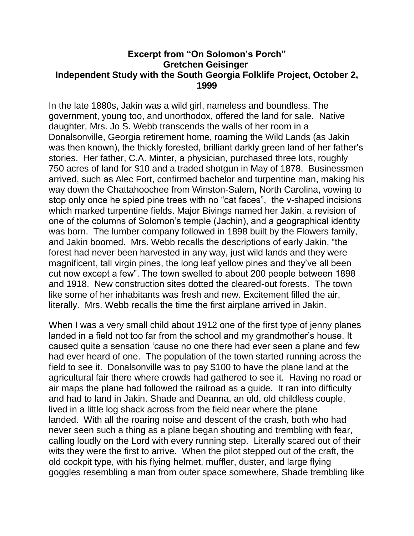## **Excerpt from "On Solomon's Porch" Gretchen Geisinger Independent Study with the South Georgia Folklife Project, October 2, 1999**

In the late 1880s, Jakin was a wild girl, nameless and boundless. The government, young too, and unorthodox, offered the land for sale. Native daughter, Mrs. Jo S. Webb transcends the walls of her room in a Donalsonville, Georgia retirement home, roaming the Wild Lands (as Jakin was then known), the thickly forested, brilliant darkly green land of her father's stories. Her father, C.A. Minter, a physician, purchased three lots, roughly 750 acres of land for \$10 and a traded shotgun in May of 1878. Businessmen arrived, such as Alec Fort, confirmed bachelor and turpentine man, making his way down the Chattahoochee from Winston-Salem, North Carolina, vowing to stop only once he spied pine trees with no "cat faces", the v-shaped incisions which marked turpentine fields. Major Bivings named her Jakin, a revision of one of the columns of Solomon's temple (Jachin), and a geographical identity was born. The lumber company followed in 1898 built by the Flowers family, and Jakin boomed. Mrs. Webb recalls the descriptions of early Jakin, "the forest had never been harvested in any way, just wild lands and they were magnificent, tall virgin pines, the long leaf yellow pines and they've all been cut now except a few". The town swelled to about 200 people between 1898 and 1918. New construction sites dotted the cleared-out forests. The town like some of her inhabitants was fresh and new. Excitement filled the air, literally. Mrs. Webb recalls the time the first airplane arrived in Jakin.

When I was a very small child about 1912 one of the first type of jenny planes landed in a field not too far from the school and my grandmother's house. It caused quite a sensation 'cause no one there had ever seen a plane and few had ever heard of one. The population of the town started running across the field to see it. Donalsonville was to pay \$100 to have the plane land at the agricultural fair there where crowds had gathered to see it. Having no road or air maps the plane had followed the railroad as a guide. It ran into difficulty and had to land in Jakin. Shade and Deanna, an old, old childless couple, lived in a little log shack across from the field near where the plane landed. With all the roaring noise and descent of the crash, both who had never seen such a thing as a plane began shouting and trembling with fear, calling loudly on the Lord with every running step. Literally scared out of their wits they were the first to arrive. When the pilot stepped out of the craft, the old cockpit type, with his flying helmet, muffler, duster, and large flying goggles resembling a man from outer space somewhere, Shade trembling like